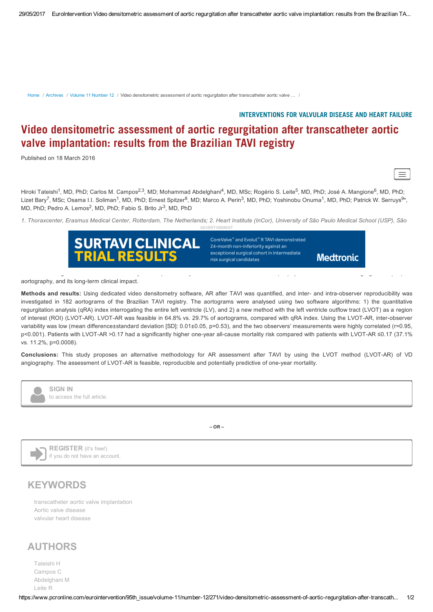[Home](https://www.pcronline.com/eurointervention) / [Archives](https://www.pcronline.com/eurointervention/pages/archives/) / Volume 11 [Number](https://www.pcronline.com/eurointervention/95th_issue/volume-11/number-12/) 12 / Video densitometric assessment of aortic regurgitation after transcatheter aortic valve ... /

## INTERVENTIONS FOR VALVULAR DISEASE AND HEART FAILURE

## Video densitometric assessment of aortic regurgitation after transcatheter aortic valve implantation: results from the Brazilian TAVI registry

Published on 18 March 2016



Hiroki Tateishi<sup>1</sup>, MD, PhD; Carlos M. Campos<sup>2,3</sup>, MD; Mohammad Abdelghani<sup>4</sup>, MD, MSc; Rogério S. Leite<sup>5</sup>, MD, PhD; José A. Mangione<sup>6</sup>, MD, PhD; Lizet Bary<sup>7</sup>, MSc; Osama I.I. Soliman<sup>1</sup>, MD, PhD; Ernest Spitzer<sup>8</sup>, MD; Marco A. Perin<sup>3</sup>, MD, PhD; Yoshinobu Onuma<sup>1</sup>, MD, PhD; Patrick W. Serruys<sup>9\*</sup>, MD, PhD; Pedro A. Lemos<sup>2</sup>, MD, PhD; Fabio S. Brito Jr<sup>3</sup>, MD, PhD

1. Thoraxcenter, Erasmus Medical Center, Rotterdam, The Netherlands; 2. Heart Institute (InCor), University of São Paulo Medical School (USP), São ADVERTISEMENT



aortography, and its long-term clinical impact.

Methods and results: Using dedicated video densitometry software, AR after TAVI was quantified, and inter- and intra-observer reproducibility was investigated in 182 aortograms of the Brazilian TAVI registry. The aortograms were analysed using two software algorithms: 1) the quantitative regurgitation analysis (qRA) index interrogating the entire left ventricle (LV), and 2) a new method with the left ventricle outflow tract (LVOT) as a region of interest (ROI) (LVOT-AR). LVOT-AR was feasible in 64.8% vs. 29.7% of aortograms, compared with qRA index. Using the LVOT-AR, inter-observer variability was low (mean difference±standard deviation [SD]: 0.01±0.05, p=0.53), and the two observers' measurements were highly correlated (r=0.95, p<0.001). Patients with LVOT-AR >0.17 had a significantly higher one-year all-cause mortality risk compared with patients with LVOT-AR ≤0.17 (37.1% vs. 11.2%, p=0.0008).

Aims: We sought to examine the feasibility and reproducibility of a new video densitometric (VD) quantification of aortic regurgitation (AR) on

Conclusions: This study proposes an alternative methodology for AR assessment after TAVI by using the LVOT method (LVOT-AR) of VD angiography. The assessment of LVOT-AR is feasible, reproducible and potentially predictive of one-year mortality.



**SIGN IN** to access the full article.

 $-$  OR  $-$ 



REGISTER (it's free!) if you do not have an account.

## **KEYWORDS**

[transcatheter](https://www.pcronline.com/eurointervention/keywords/781/transcatheter-aortic-valve-implantation.html) aortic valve implantation Aortic valve [disease](https://www.pcronline.com/eurointervention/keywords/819/aortic-valve-disease.html) valvular heart [disease](https://www.pcronline.com/eurointervention/keywords/820/valvular-heart-disease.html)

## AUTHORS

[Tateishi](https://www.pcronline.com/eurointervention/authors/9455/hiroki-tateishi) H [Campos](https://www.pcronline.com/eurointervention/authors/3251/carlos-am-campos) C [Abdelghani](https://www.pcronline.com/eurointervention/authors/10835/mohammad-abdelghani) M [Leite](https://www.pcronline.com/eurointervention/authors/11228/rogerio-s-leite) R